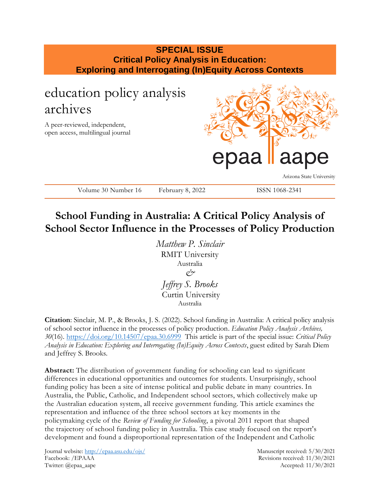## **SPECIAL ISSUE Critical Policy Analysis in Education: Exploring and Interrogating (In)Equity Across Contexts**

# education policy analysis archives A peer-reviewed, independent, open access, multilingual journal aa Arizona State University Volume 30 Number 16 February 8, 2022 ISSN 1068-2341

## **School Funding in Australia: A Critical Policy Analysis of School Sector Influence in the Processes of Policy Production**

*Matthew P. Sinclair* RMIT University Australia *& Jeffrey S. Brooks* Curtin University Australia

**Citation**: Sinclair, M. P., & Brooks, J. S. (2022). School funding in Australia: A critical policy analysis of school sector influence in the processes of policy production. *Education Policy Analysis Archives, 30*(16).<https://doi.org/10.14507/epaa.30.6999>This article is part of the special issue: *Critical Policy Analysis in Education: Exploring and Interrogating (In)Equity Across Contexts*, guest edited by Sarah Diem and Jeffrey S. Brooks.

**Abstract:** The distribution of government funding for schooling can lead to significant differences in educational opportunities and outcomes for students. Unsurprisingly, school funding policy has been a site of intense political and public debate in many countries. In Australia, the Public, Catholic, and Independent school sectors, which collectively make up the Australian education system, all receive government funding. This article examines the representation and influence of the three school sectors at key moments in the policymaking cycle of the *Review of Funding for Schooling*, a pivotal 2011 report that shaped the trajectory of school funding policy in Australia. This case study focused on the report's development and found a disproportional representation of the Independent and Catholic

Journal website:<http://epaa.asu.edu/ojs/> Manuscript received: 5/30/2021 Facebook: /EPAAA Revisions received: 11/30/2021 Twitter: @epaa\_aape Accepted: 11/30/2021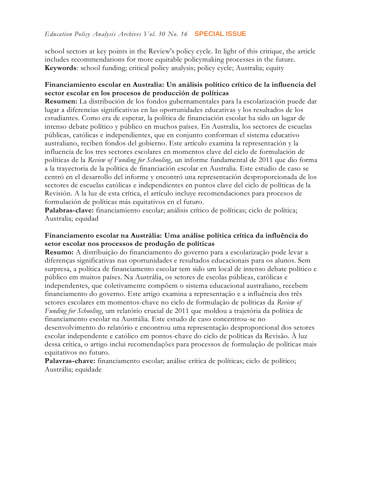school sectors at key points in the Review's policy cycle. In light of this critique, the article includes recommendations for more equitable policymaking processes in the future. **Keywords**: school funding; critical policy analysis; policy cycle; Australia; equity

## **Financiamiento escolar en Australia: Un análisis político crítico de la influencia del sector escolar en los procesos de producción de políticas**

**Resumen:** La distribución de los fondos gubernamentales para la escolarización puede dar lugar a diferencias significativas en las oportunidades educativas y los resultados de los estudiantes. Como era de esperar, la política de financiación escolar ha sido un lugar de intenso debate político y público en muchos países. En Australia, los sectores de escuelas públicas, católicas e independientes, que en conjunto conforman el sistema educativo australiano, reciben fondos del gobierno. Este artículo examina la representación y la influencia de los tres sectores escolares en momentos clave del ciclo de formulación de políticas de la *Review of Funding for Schooling*, un informe fundamental de 2011 que dio forma a la trayectoria de la política de financiación escolar en Australia. Este estudio de caso se centró en el desarrollo del informe y encontró una representación desproporcionada de los sectores de escuelas católicas e independientes en puntos clave del ciclo de políticas de la Revisión. A la luz de esta crítica, el artículo incluye recomendaciones para procesos de formulación de políticas más equitativos en el futuro.

**Palabras-clave:** financiamiento escolar; análisis crítico de políticas; ciclo de política; Australia; equidad

## **Financiamento escolar na Austrália: Uma análise política crítica da influência do setor escolar nos processos de produção de políticas**

**Resumo:** A distribuição do financiamento do governo para a escolarização pode levar a diferenças significativas nas oportunidades e resultados educacionais para os alunos. Sem surpresa, a política de financiamento escolar tem sido um local de intenso debate político e público em muitos países. Na Austrália, os setores de escolas públicas, católicas e independentes, que coletivamente compõem o sistema educacional australiano, recebem financiamento do governo. Este artigo examina a representação e a influência dos três setores escolares em momentos-chave no ciclo de formulação de políticas da *Review of Funding for Schooling*, um relatório crucial de 2011 que moldou a trajetória da política de financiamento escolar na Austrália. Este estudo de caso concentrou-se no desenvolvimento do relatório e encontrou uma representação desproporcional dos setores escolar independente e católico em pontos-chave do ciclo de políticas da Revisão. À luz dessa crítica, o artigo inclui recomendações para processos de formulação de políticas mais equitativos no futuro.

**Palavras-chave:** financiamento escolar; análise crítica de políticas; ciclo de político; Austrália; equidade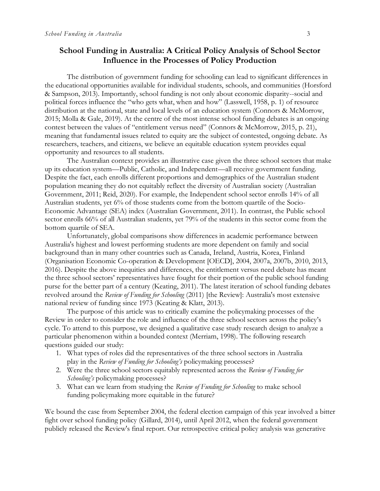## **School Funding in Australia: A Critical Policy Analysis of School Sector Influence in the Processes of Policy Production**

The distribution of government funding for schooling can lead to significant differences in the educational opportunities available for individual students, schools, and communities (Horsford & Sampson, 2013). Importantly, school funding is not only about economic disparity--social and political forces influence the "who gets what, when and how" (Lasswell, 1958, p. 1) of resource distribution at the national, state and local levels of an education system (Connors & McMorrow, 2015; Molla & Gale, 2019). At the centre of the most intense school funding debates is an ongoing contest between the values of "entitlement versus need" (Connors & McMorrow, 2015, p. 21), meaning that fundamental issues related to equity are the subject of contested, ongoing debate. As researchers, teachers, and citizens, we believe an equitable education system provides equal opportunity and resources to all students.

The Australian context provides an illustrative case given the three school sectors that make up its education system—Public, Catholic, and Independent—all receive government funding. Despite the fact, each enrolls different proportions and demographics of the Australian student population meaning they do not equitably reflect the diversity of Australian society (Australian Government, 2011; Reid, 2020). For example, the Independent school sector enrolls 14% of all Australian students, yet 6% of those students come from the bottom quartile of the Socio-Economic Advantage (SEA) index (Australian Government, 2011). In contrast, the Public school sector enrolls 66% of all Australian students, yet 79% of the students in this sector come from the bottom quartile of SEA.

Unfortunately, global comparisons show differences in academic performance between Australia's highest and lowest performing students are more dependent on family and social background than in many other countries such as Canada, Ireland, Austria, Korea, Finland (Organisation Economic Co-operation & Development [OECD], 2004, 2007a, 2007b, 2010, 2013, 2016). Despite the above inequities and differences, the entitlement versus need debate has meant the three school sectors' representatives have fought for their portion of the public school funding purse for the better part of a century (Keating, 2011). The latest iteration of school funding debates revolved around the *Review of Funding for Schooling* (2011) [the Review]: Australia's most extensive national review of funding since 1973 (Keating & Klatt, 2013).

The purpose of this article was to critically examine the policymaking processes of the Review in order to consider the role and influence of the three school sectors across the policy's cycle. To attend to this purpose, we designed a qualitative case study research design to analyze a particular phenomenon within a bounded context (Merriam, 1998). The following research questions guided our study:

- 1. What types of roles did the representatives of the three school sectors in Australia play in the *Review of Funding for Schooling's* policymaking processes?
- 2. Were the three school sectors equitably represented across the *Review of Funding for Schooling's* policymaking processes?
- 3. What can we learn from studying the *Review of Funding for Schooling* to make school funding policymaking more equitable in the future?

We bound the case from September 2004, the federal election campaign of this year involved a bitter fight over school funding policy (Gillard, 2014), until April 2012, when the federal government publicly released the Review's final report. Our retrospective critical policy analysis was generative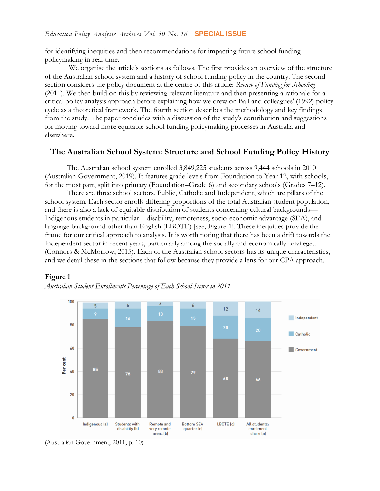for identifying inequities and then recommendations for impacting future school funding policymaking in real-time.

We organise the article's sections as follows. The first provides an overview of the structure of the Australian school system and a history of school funding policy in the country. The second section considers the policy document at the centre of this article: *Review of Funding for Schooling*  (2011). We then build on this by reviewing relevant literature and then presenting a rationale for a critical policy analysis approach before explaining how we drew on Ball and colleagues' (1992) policy cycle as a theoretical framework. The fourth section describes the methodology and key findings from the study. The paper concludes with a discussion of the study's contribution and suggestions for moving toward more equitable school funding policymaking processes in Australia and elsewhere.

## **The Australian School System: Structure and School Funding Policy History**

The Australian school system enrolled 3,849,225 students across 9,444 schools in 2010 (Australian Government, 2019). It features grade levels from Foundation to Year 12, with schools, for the most part, split into primary (Foundation–Grade 6) and secondary schools (Grades 7–12).

There are three school sectors, Public, Catholic and Independent, which are pillars of the school system. Each sector enrolls differing proportions of the total Australian student population, and there is also a lack of equitable distribution of students concerning cultural backgrounds— Indigenous students in particular—disability, remoteness, socio-economic advantage (SEA), and language background other than English (LBOTE) [see, Figure 1]. These inequities provide the frame for our critical approach to analysis. It is worth noting that there has been a drift towards the Independent sector in recent years, particularly among the socially and economically privileged (Connors & McMorrow, 2015). Each of the Australian school sectors has its unique characteristics, and we detail these in the sections that follow because they provide a lens for our CPA approach.

## **Figure 1**

*Australian Student Enrollments Percentage of Each School Sector in 2011* 



<sup>(</sup>Australian Government, 2011, p. 10)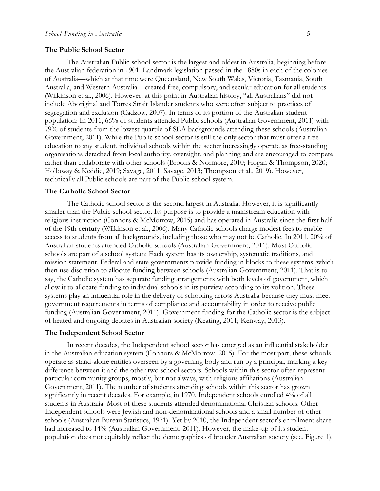#### **The Public School Sector**

The Australian Public school sector is the largest and oldest in Australia, beginning before the Australian federation in 1901. Landmark legislation passed in the 1880s in each of the colonies of Australia—which at that time were Queensland, New South Wales, Victoria, Tasmania, South Australia, and Western Australia—created free, compulsory, and secular education for all students (Wilkinson et al., 2006). However, at this point in Australian history, "all Australians" did not include Aboriginal and Torres Strait Islander students who were often subject to practices of segregation and exclusion (Cadzow, 2007). In terms of its portion of the Australian student population: In 2011, 66% of students attended Public schools (Australian Government, 2011) with 79% of students from the lowest quartile of SEA backgrounds attending these schools (Australian Government, 2011). While the Public school sector is still the only sector that must offer a free education to any student, individual schools within the sector increasingly operate as free-standing organisations detached from local authority, oversight, and planning and are encouraged to compete rather than collaborate with other schools (Brooks & Normore, 2010; Hogan & Thompson, 2020; Holloway & Keddie, 2019; Savage, 2011; Savage, 2013; Thompson et al., 2019). However, technically all Public schools are part of the Public school system.

#### **The Catholic School Sector**

The Catholic school sector is the second largest in Australia. However, it is significantly smaller than the Public school sector. Its purpose is to provide a mainstream education with religious instruction (Connors & McMorrow, 2015) and has operated in Australia since the first half of the 19th century (Wilkinson et al., 2006). Many Catholic schools charge modest fees to enable access to students from all backgrounds, including those who may not be Catholic. In 2011, 20% of Australian students attended Catholic schools (Australian Government, 2011). Most Catholic schools are part of a school system: Each system has its ownership, systematic traditions, and mission statement. Federal and state governments provide funding in blocks to these systems, which then use discretion to allocate funding between schools (Australian Government, 2011). That is to say, the Catholic system has separate funding arrangements with both levels of government, which allow it to allocate funding to individual schools in its purview according to its volition. These systems play an influential role in the delivery of schooling across Australia because they must meet government requirements in terms of compliance and accountability in order to receive public funding (Australian Government, 2011). Government funding for the Catholic sector is the subject of heated and ongoing debates in Australian society (Keating, 2011; Kenway, 2013).

#### **The Independent School Sector**

In recent decades, the Independent school sector has emerged as an influential stakeholder in the Australian education system (Connors & McMorrow, 2015). For the most part, these schools operate as stand-alone entities overseen by a governing body and run by a principal, marking a key difference between it and the other two school sectors. Schools within this sector often represent particular community groups, mostly, but not always, with religious affiliations (Australian Government, 2011). The number of students attending schools within this sector has grown significantly in recent decades. For example, in 1970, Independent schools enrolled 4% of all students in Australia. Most of these students attended denominational Christian schools. Other Independent schools were Jewish and non-denominational schools and a small number of other schools (Australian Bureau Statistics, 1971). Yet by 2010, the Independent sector's enrollment share had increased to 14% (Australian Government, 2011). However, the make-up of its student population does not equitably reflect the demographics of broader Australian society (see, Figure 1).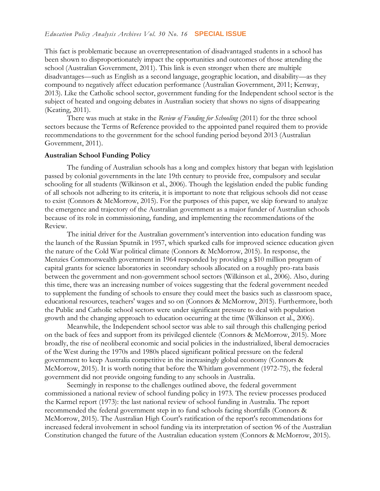This fact is problematic because an overrepresentation of disadvantaged students in a school has been shown to disproportionately impact the opportunities and outcomes of those attending the school (Australian Government, 2011). This link is even stronger when there are multiple disadvantages—such as English as a second language, geographic location, and disability—as they compound to negatively affect education performance (Australian Government, 2011; Kenway, 2013). Like the Catholic school sector, government funding for the Independent school sector is the subject of heated and ongoing debates in Australian society that shows no signs of disappearing (Keating, 2011).

There was much at stake in the *Review of Funding for Schooling* (2011) for the three school sectors because the Terms of Reference provided to the appointed panel required them to provide recommendations to the government for the school funding period beyond 2013 (Australian Government, 2011).

#### **Australian School Funding Policy**

The funding of Australian schools has a long and complex history that began with legislation passed by colonial governments in the late 19th century to provide free, compulsory and secular schooling for all students (Wilkinson et al., 2006). Though the legislation ended the public funding of all schools not adhering to its criteria, it is important to note that religious schools did not cease to exist (Connors & McMorrow, 2015). For the purposes of this paper, we skip forward to analyze the emergence and trajectory of the Australian government as a major funder of Australian schools because of its role in commissioning, funding, and implementing the recommendations of the Review.

The initial driver for the Australian government's intervention into education funding was the launch of the Russian Sputnik in 1957, which sparked calls for improved science education given the nature of the Cold War political climate (Connors & McMorrow, 2015). In response, the Menzies Commonwealth government in 1964 responded by providing a \$10 million program of capital grants for science laboratories in secondary schools allocated on a roughly pro-rata basis between the government and non-government school sectors (Wilkinson et al., 2006). Also, during this time, there was an increasing number of voices suggesting that the federal government needed to supplement the funding of schools to ensure they could meet the basics such as classroom space, educational resources, teachers' wages and so on (Connors & McMorrow, 2015). Furthermore, both the Public and Catholic school sectors were under significant pressure to deal with population growth and the changing approach to education occurring at the time (Wilkinson et al., 2006).

Meanwhile, the Independent school sector was able to sail through this challenging period on the back of fees and support from its privileged clientele (Connors & McMorrow, 2015). More broadly, the rise of neoliberal economic and social policies in the industrialized, liberal democracies of the West during the 1970s and 1980s placed significant political pressure on the federal government to keep Australia competitive in the increasingly global economy (Connors & McMorrow, 2015). It is worth noting that before the Whitlam government (1972-75), the federal government did not provide ongoing funding to any schools in Australia.

Seemingly in response to the challenges outlined above, the federal government commissioned a national review of school funding policy in 1973. The review processes produced the Karmel report (1973): the last national review of school funding in Australia. The report recommended the federal government step in to fund schools facing shortfalls (Connors & McMorrow, 2015). The Australian High Court's ratification of the report's recommendations for increased federal involvement in school funding via its interpretation of section 96 of the Australian Constitution changed the future of the Australian education system (Connors & McMorrow, 2015).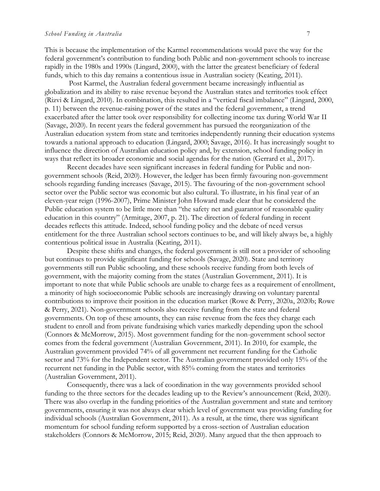This is because the implementation of the Karmel recommendations would pave the way for the federal government's contribution to funding both Public and non-government schools to increase rapidly in the 1980s and 1990s (Lingard, 2000), with the latter the greatest beneficiary of federal funds, which to this day remains a contentious issue in Australian society (Keating, 2011).

Post Karmel, the Australian federal government became increasingly influential as globalization and its ability to raise revenue beyond the Australian states and territories took effect (Rizvi & Lingard, 2010). In combination, this resulted in a "vertical fiscal imbalance" (Lingard, 2000, p. 11) between the revenue-raising power of the states and the federal government, a trend exacerbated after the latter took over responsibility for collecting income tax during World War II (Savage, 2020). In recent years the federal government has pursued the reorganization of the Australian education system from state and territories independently running their education systems towards a national approach to education (Lingard, 2000; Savage, 2016). It has increasingly sought to influence the direction of Australian education policy and, by extension, school funding policy in ways that reflect its broader economic and social agendas for the nation (Gerrard et al., 2017).

Recent decades have seen significant increases in federal funding for Public and nongovernment schools (Reid, 2020). However, the ledger has been firmly favouring non-government schools regarding funding increases (Savage, 2015). The favouring of the non-government school sector over the Public sector was economic but also cultural. To illustrate, in his final year of an eleven-year reign (1996-2007), Prime Minister John Howard made clear that he considered the Public education system to be little more than "the safety net and guarantor of reasonable quality education in this country" (Armitage, 2007, p. 21). The direction of federal funding in recent decades reflects this attitude. Indeed, school funding policy and the debate of need versus entitlement for the three Australian school sectors continues to be, and will likely always be, a highly contentious political issue in Australia (Keating, 2011).

Despite these shifts and changes, the federal government is still not a provider of schooling but continues to provide significant funding for schools (Savage, 2020). State and territory governments still run Public schooling, and these schools receive funding from both levels of government, with the majority coming from the states (Australian Government, 2011). It is important to note that while Public schools are unable to charge fees as a requirement of enrollment, a minority of high socioeconomic Public schools are increasingly drawing on voluntary parental contributions to improve their position in the education market (Rowe & Perry, 2020a, 2020b; Rowe & Perry, 2021). Non-government schools also receive funding from the state and federal governments. On top of these amounts, they can raise revenue from the fees they charge each student to enroll and from private fundraising which varies markedly depending upon the school (Connors & McMorrow, 2015). Most government funding for the non-government school sector comes from the federal government (Australian Government, 2011). In 2010, for example, the Australian government provided 74% of all government net recurrent funding for the Catholic sector and 73% for the Independent sector. The Australian government provided only 15% of the recurrent net funding in the Public sector, with 85% coming from the states and territories (Australian Government, 2011).

Consequently, there was a lack of coordination in the way governments provided school funding to the three sectors for the decades leading up to the Review's announcement (Reid, 2020). There was also overlap in the funding priorities of the Australian government and state and territory governments, ensuring it was not always clear which level of government was providing funding for individual schools (Australian Government, 2011). As a result, at the time, there was significant momentum for school funding reform supported by a cross-section of Australian education stakeholders (Connors & McMorrow, 2015; Reid, 2020). Many argued that the then approach to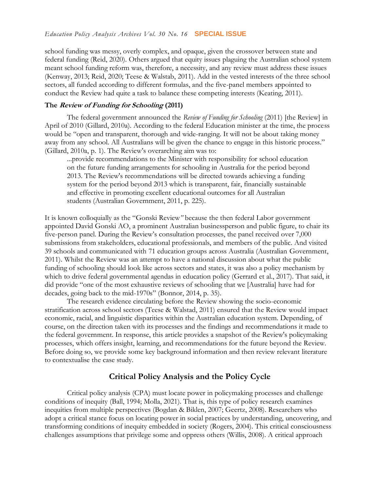school funding was messy, overly complex, and opaque, given the crossover between state and federal funding (Reid, 2020). Others argued that equity issues plaguing the Australian school system meant school funding reform was, therefore, a necessity, and any review must address these issues (Kenway, 2013; Reid, 2020; Teese & Walstab, 2011). Add in the vested interests of the three school sectors, all funded according to different formulas, and the five-panel members appointed to conduct the Review had quite a task to balance these competing interests (Keating, 2011).

#### **The Review of Funding for Schooling (2011)**

The federal government announced the *Review of Funding for Schooling* (2011) [the Review] in April of 2010 (Gillard, 2010a). According to the federal Education minister at the time, the process would be "open and transparent, thorough and wide-ranging. It will not be about taking money away from any school. All Australians will be given the chance to engage in this historic process." (Gillard, 2010a, p. 1). The Review's overarching aim was to:

...provide recommendations to the Minister with responsibility for school education on the future funding arrangements for schooling in Australia for the period beyond 2013. The Review's recommendations will be directed towards achieving a funding system for the period beyond 2013 which is transparent, fair, financially sustainable and effective in promoting excellent educational outcomes for all Australian students (Australian Government, 2011, p. 225).

It is known colloquially as the "Gonski Review*"* because the then federal Labor government appointed David Gonski AO, a prominent Australian businessperson and public figure, to chair its five-person panel. During the Review's consultation processes, the panel received over 7,000 submissions from stakeholders, educational professionals, and members of the public. And visited 39 schools and communicated with 71 education groups across Australia (Australian Government, 2011). Whilst the Review was an attempt to have a national discussion about what the public funding of schooling should look like across sectors and states, it was also a policy mechanism by which to drive federal governmental agendas in education policy (Gerrard et al., 2017). That said, it did provide "one of the most exhaustive reviews of schooling that we [Australia] have had for decades, going back to the mid-1970s" (Bonnor, 2014, p. 35).

The research evidence circulating before the Review showing the socio-economic stratification across school sectors (Teese & Walstad, 2011) ensured that the Review would impact economic, racial, and linguistic disparities within the Australian education system. Depending, of course, on the direction taken with its processes and the findings and recommendations it made to the federal government. In response, this article provides a snapshot of the Review's policymaking processes, which offers insight, learning, and recommendations for the future beyond the Review. Before doing so, we provide some key background information and then review relevant literature to contextualise the case study.

## **Critical Policy Analysis and the Policy Cycle**

Critical policy analysis (CPA) must locate power in policymaking processes and challenge conditions of inequity (Ball, 1994; Molla, 2021). That is, this type of policy research examines inequities from multiple perspectives (Bogdan & Biklen, 2007; Geertz, 2008). Researchers who adopt a critical stance focus on locating power in social practices by understanding, uncovering, and transforming conditions of inequity embedded in society (Rogers, 2004). This critical consciousness challenges assumptions that privilege some and oppress others (Willis, 2008). A critical approach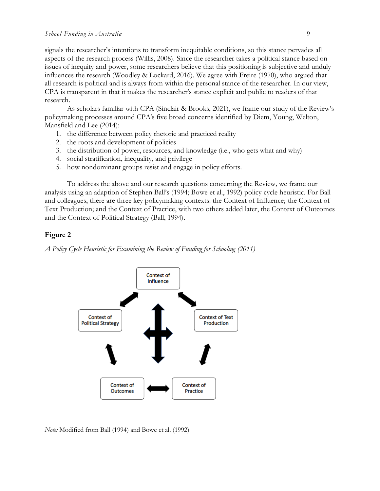signals the researcher's intentions to transform inequitable conditions, so this stance pervades all aspects of the research process (Willis, 2008). Since the researcher takes a political stance based on issues of inequity and power, some researchers believe that this positioning is subjective and unduly influences the research (Woodley & Lockard, 2016). We agree with Freire (1970), who argued that all research is political and is always from within the personal stance of the researcher. In our view, CPA is transparent in that it makes the researcher's stance explicit and public to readers of that research.

As scholars familiar with CPA (Sinclair & Brooks, 2021), we frame our study of the Review's policymaking processes around CPA's five broad concerns identified by Diem, Young, Welton, Mansfield and Lee (2014):

- 1. the difference between policy rhetoric and practiced reality
- 2. the roots and development of policies
- 3. the distribution of power, resources, and knowledge (i.e., who gets what and why)
- 4. social stratification, inequality, and privilege
- 5. how nondominant groups resist and engage in policy efforts.

To address the above and our research questions concerning the Review*,* we frame our analysis using an adaption of Stephen Ball's (1994; Bowe et al., 1992) policy cycle heuristic. For Ball and colleagues, there are three key policymaking contexts: the Context of Influence; the Context of Text Production; and the Context of Practice, with two others added later, the Context of Outcomes and the Context of Political Strategy (Ball, 1994).

## **Figure 2**

*A Policy Cycle Heuristic for Examining the Review of Funding for Schooling (2011)* 



*Note:* Modified from Ball (1994) and Bowe et al. (1992)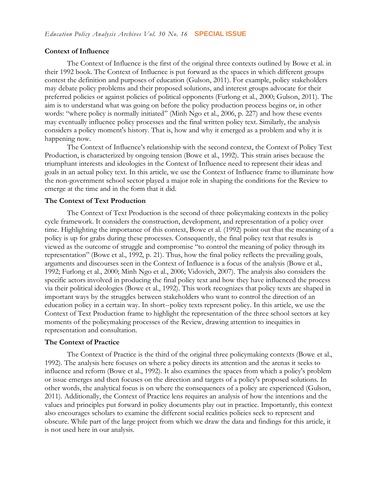#### **Context of Influence**

The Context of Influence is the first of the original three contexts outlined by Bowe et al. in their 1992 book. The Context of Influence is put forward as the spaces in which different groups contest the definition and purposes of education (Gulson, 2011). For example, policy stakeholders may debate policy problems and their proposed solutions, and interest groups advocate for their preferred policies or against policies of political opponents (Furlong et al., 2000; Gulson, 2011). The aim is to understand what was going on before the policy production process begins or, in other words: "where policy is normally initiated" (Minh Ngo et al., 2006, p. 227) and how these events may eventually influence policy processes and the final written policy text. Similarly, the analysis considers a policy moment's history. That is, how and why it emerged as a problem and why it is happening now.

The Context of Influence's relationship with the second context, the Context of Policy Text Production, is characterized by ongoing tension (Bowe et al., 1992). This strain arises because the triumphant interests and ideologies in the Context of Influence need to represent their ideas and goals in an actual policy text. In this article, we use the Context of Influence frame to illuminate how the non-government school sector played a major role in shaping the conditions for the Review to emerge at the time and in the form that it did.

## **The Context of Text Production**

The Context of Text Production is the second of three policymaking contexts in the policy cycle framework. It considers the construction, development, and representation of a policy over time. Highlighting the importance of this context, Bowe et al. (1992) point out that the meaning of a policy is up for grabs during these processes. Consequently, the final policy text that results is viewed as the outcome of struggle and compromise "to control the meaning of policy through its representation" (Bowe et al., 1992, p. 21). Thus, how the final policy reflects the prevailing goals, arguments and discourses seen in the Context of Influence is a focus of the analysis (Bowe et al., 1992; Furlong et al., 2000; Minh Ngo et al., 2006; Vidovich, 2007). The analysis also considers the specific actors involved in producing the final policy text and how they have influenced the process via their political ideologies (Bowe et al., 1992). This work recognizes that policy texts are shaped in important ways by the struggles between stakeholders who want to control the direction of an education policy in a certain way. In short--policy texts represent policy. In this article, we use the Context of Text Production frame to highlight the representation of the three school sectors at key moments of the policymaking processes of the Review, drawing attention to inequities in representation and consultation.

#### **The Context of Practice**

The Context of Practice is the third of the original three policymaking contexts (Bowe et al., 1992). The analysis here focuses on where a policy directs its attention and the arenas it seeks to influence and reform (Bowe et al., 1992). It also examines the spaces from which a policy's problem or issue emerges and then focuses on the direction and targets of a policy's proposed solutions. In other words, the analytical focus is on where the consequences of a policy are experienced (Gulson, 2011). Additionally, the Context of Practice lens requires an analysis of how the intentions and the values and principles put forward in policy documents play out in practice. Importantly, this context also encourages scholars to examine the different social realities policies seek to represent and obscure. While part of the large project from which we draw the data and findings for this article, it is not used here in our analysis.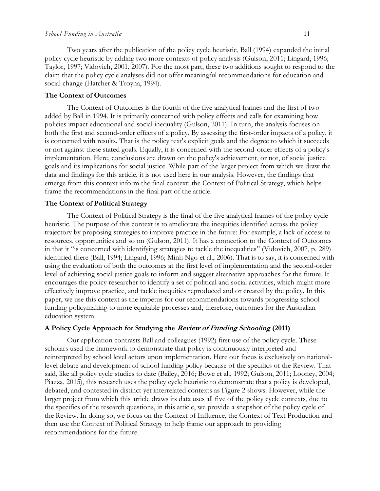Two years after the publication of the policy cycle heuristic, Ball (1994) expanded the initial policy cycle heuristic by adding two more contexts of policy analysis (Gulson, 2011; Lingard, 1996; Taylor, 1997; Vidovich, 2001, 2007). For the most part, these two additions sought to respond to the claim that the policy cycle analyses did not offer meaningful recommendations for education and social change (Hatcher & Troyna, 1994).

## **The Context of Outcomes**

The Context of Outcomes is the fourth of the five analytical frames and the first of two added by Ball in 1994. It is primarily concerned with policy effects and calls for examining how policies impact educational and social inequality (Gulson, 2011). In turn, the analysis focuses on both the first and second-order effects of a policy. By assessing the first-order impacts of a policy, it is concerned with results. That is the policy text's explicit goals and the degree to which it succeeds or not against these stated goals. Equally, it is concerned with the second-order effects of a policy's implementation. Here, conclusions are drawn on the policy's achievement, or not, of social justice goals and its implications for social justice. While part of the larger project from which we draw the data and findings for this article, it is not used here in our analysis. However, the findings that emerge from this context inform the final context: the Context of Political Strategy, which helps frame the recommendations in the final part of the article.

#### **The Context of Political Strategy**

The Context of Political Strategy is the final of the five analytical frames of the policy cycle heuristic. The purpose of this context is to ameliorate the inequities identified across the policy trajectory by proposing strategies to improve practice in the future: For example, a lack of access to resources, opportunities and so on (Gulson, 2011). It has a connection to the Context of Outcomes in that it "is concerned with identifying strategies to tackle the inequalities" (Vidovich, 2007, p. 289) identified there (Ball, 1994; Lingard, 1996; Minh Ngo et al., 2006). That is to say, it is concerned with using the evaluation of both the outcomes at the first level of implementation and the second-order level of achieving social justice goals to inform and suggest alternative approaches for the future. It encourages the policy researcher to identify a set of political and social activities, which might more effectively improve practice, and tackle inequities reproduced and or created by the policy. In this paper, we use this context as the impetus for our recommendations towards progressing school funding policymaking to more equitable processes and, therefore, outcomes for the Australian education system.

#### **A Policy Cycle Approach for Studying the Review of Funding Schooling (2011)**

Our application contrasts Ball and colleagues (1992) first use of the policy cycle. These scholars used the framework to demonstrate that policy is continuously interpreted and reinterpreted by school level actors upon implementation. Here our focus is exclusively on nationallevel debate and development of school funding policy because of the specifics of the Review. That said, like all policy cycle studies to date (Bailey, 2016; Bowe et al., 1992; Gulson, 2011; Looney, 2004; Piazza, 2015), this research uses the policy cycle heuristic to demonstrate that a policy is developed, debated, and contested in distinct yet interrelated contexts as Figure 2 shows. However, while the larger project from which this article draws its data uses all five of the policy cycle contexts, due to the specifics of the research questions, in this article, we provide a snapshot of the policy cycle of the Review. In doing so, we focus on the Context of Influence, the Context of Text Production and then use the Context of Political Strategy to help frame our approach to providing recommendations for the future.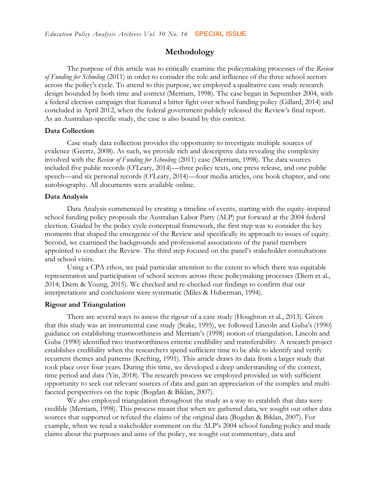## **Methodology**

The purpose of this article was to critically examine the policymaking processes of the *Review of Funding for Schooling* (2011) in order to consider the role and influence of the three school sectors across the policy's cycle. To attend to this purpose, we employed a qualitative case study research design bounded by both time and context (Merriam, 1998). The case began in September 2004, with a federal election campaign that featured a bitter fight over school funding policy (Gillard, 2014) and concluded in April 2012, when the federal government publicly released the Review's final report. As an Australian-specific study, the case is also bound by this context.

#### **Data Collection**

Case study data collection provides the opportunity to investigate multiple sources of evidence (Geertz, 2008). As such, we provide rich and descriptive data revealing the complexity involved with the *Review of Funding for Schooling* (2011) case (Merriam, 1998). The data sources included five public records (O'Leary, 2014)—three policy texts, one press release, and one public speech—and six personal records (O'Leary, 2014)—four media articles, one book chapter, and one autobiography. All documents were available online.

#### **Data Analysis**

Data Analysis commenced by creating a timeline of events, starting with the equity-inspired school funding policy proposals the Australian Labor Party (ALP) put forward at the 2004 federal election. Guided by the policy cycle conceptual framework, the first step was to consider the key moments that shaped the emergence of the Review and specifically its approach to issues of equity. Second, we examined the backgrounds and professional associations of the panel members appointed to conduct the Review. The third step focused on the panel's stakeholder consultations and school visits.

Using a CPA ethos, we paid particular attention to the extent to which there was equitable representation and participation of school sectors across these policymaking processes (Diem et al., 2014; Diem & Young, 2015). We checked and re-checked our findings to confirm that our interpretations and conclusions were systematic (Miles & Huberman, 1994).

#### **Rigour and Triangulation**

There are several ways to assess the rigour of a case study (Houghton et al., 2013). Given that this study was an instrumental case study (Stake, 1995), we followed Lincoln and Guba's (1990) guidance on establishing trustworthiness and Merriam's (1998) notion of triangulation. Lincoln and Guba (1990) identified two trustworthiness criteria: credibility and transferability. A research project establishes credibility when the researchers spend sufficient time to be able to identify and verify recurrent themes and patterns (Krefting, 1991). This article draws its data from a larger study that took place over four years. During this time, we developed a deep understanding of the context, time period and data (Yin, 2018). The research process we employed provided us with sufficient opportunity to seek out relevant sources of data and gain an appreciation of the complex and multifaceted perspectives on the topic (Bogdan & Biklan, 2007).

We also employed triangulation throughout the study as a way to establish that data were credible (Merriam, 1998). This process meant that when we gathered data, we sought out other data sources that supported or refuted the claims of the original data (Bogdan & Biklan, 2007). For example, when we read a stakeholder comment on the ALP's 2004 school funding policy and made claims about the purposes and aims of the policy, we sought out commentary, data and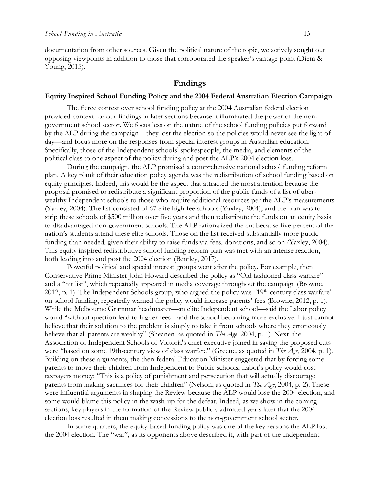documentation from other sources. Given the political nature of the topic, we actively sought out opposing viewpoints in addition to those that corroborated the speaker's vantage point (Diem & Young, 2015).

## **Findings**

#### **Equity Inspired School Funding Policy and the 2004 Federal Australian Election Campaign**

The fierce contest over school funding policy at the 2004 Australian federal election provided context for our findings in later sections because it illuminated the power of the nongovernment school sector. We focus less on the nature of the school funding policies put forward by the ALP during the campaign—they lost the election so the policies would never see the light of day—and focus more on the responses from special interest groups in Australian education. Specifically, those of the Independent schools' spokespeople, the media, and elements of the political class to one aspect of the policy during and post the ALP's 2004 election loss.

During the campaign, the ALP promised a comprehensive national school funding reform plan. A key plank of their education policy agenda was the redistribution of school funding based on equity principles. Indeed, this would be the aspect that attracted the most attention because the proposal promised to redistribute a significant proportion of the public funds of a list of uberwealthy Independent schools to those who require additional resources per the ALP's measurements (Yaxley, 2004). The list consisted of 67 elite high fee schools (Yaxley, 2004), and the plan was to strip these schools of \$500 million over five years and then redistribute the funds on an equity basis to disadvantaged non-government schools. The ALP rationalized the cut because five percent of the nation's students attend these elite schools. Those on the list received substantially more public funding than needed, given their ability to raise funds via fees, donations, and so on (Yaxley, 2004). This equity inspired redistributive school funding reform plan was met with an intense reaction, both leading into and post the 2004 election (Bentley, 2017).

Powerful political and special interest groups went after the policy. For example, then Conservative Prime Minister John Howard described the policy as "Old fashioned class warfare" and a "hit list", which repeatedly appeared in media coverage throughout the campaign (Browne, 2012, p. 1). The Independent Schools group, who argued the policy was "19<sup>th</sup>-century class warfare" on school funding, repeatedly warned the policy would increase parents' fees (Browne, 2012, p. 1). While the Melbourne Grammar headmaster—an elite Independent school—said the Labor policy would "without question lead to higher fees - and the school becoming more exclusive. I just cannot believe that their solution to the problem is simply to take it from schools where they erroneously believe that all parents are wealthy" (Sheanen, as quoted in *The Age*, 2004, p. 1). Next, the Association of Independent Schools of Victoria's chief executive joined in saying the proposed cuts were "based on some 19th-century view of class warfare" (Greene, as quoted in *The Age*, 2004, p. 1). Building on these arguments, the then federal Education Minister suggested that by forcing some parents to move their children from Independent to Public schools, Labor's policy would cost taxpayers money: "This is a policy of punishment and persecution that will actually discourage parents from making sacrifices for their children" (Nelson, as quoted in *The Age*, 2004, p. 2). These were influential arguments in shaping the Review because the ALP would lose the 2004 election, and some would blame this policy in the wash-up for the defeat. Indeed, as we show in the coming sections, key players in the formation of the Review publicly admitted years later that the 2004 election loss resulted in them making concessions to the non-government school sector.

In some quarters, the equity-based funding policy was one of the key reasons the ALP lost the 2004 election. The "war", as its opponents above described it, with part of the Independent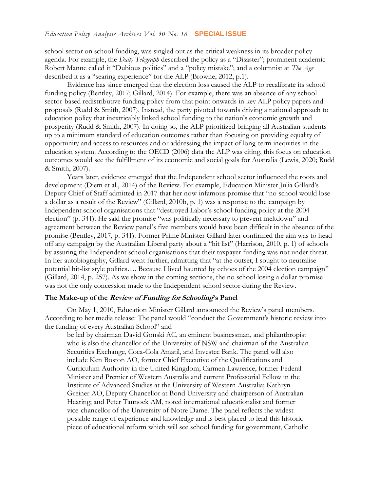school sector on school funding, was singled out as the critical weakness in its broader policy agenda. For example, the *Daily Telegraph* described the policy as a "Disaster"; prominent academic Robert Manne called it "Dubious politics" and a "policy mistake"; and a columnist at *The Age* described it as a "searing experience" for the ALP (Browne, 2012, p.1).

Evidence has since emerged that the election loss caused the ALP to recalibrate its school funding policy (Bentley, 2017; Gillard, 2014). For example, there was an absence of any school sector-based redistributive funding policy from that point onwards in key ALP policy papers and proposals (Rudd & Smith, 2007). Instead, the party pivoted towards driving a national approach to education policy that inextricably linked school funding to the nation's economic growth and prosperity (Rudd & Smith, 2007). In doing so, the ALP prioritized bringing all Australian students up to a minimum standard of education outcomes rather than focusing on providing equality of opportunity and access to resources and or addressing the impact of long-term inequities in the education system. According to the OECD (2006) data the ALP was citing, this focus on education outcomes would see the fulfillment of its economic and social goals for Australia (Lewis, 2020; Rudd & Smith, 2007).

Years later, evidence emerged that the Independent school sector influenced the roots and development (Diem et al., 2014) of the Review. For example, Education Minister Julia Gillard's Deputy Chief of Staff admitted in 2017 that her now-infamous promise that "no school would lose a dollar as a result of the Review" (Gillard, 2010b, p. 1) was a response to the campaign by Independent school organisations that "destroyed Labor's school funding policy at the 2004 election" (p. 341). He said the promise "was politically necessary to prevent meltdown" and agreement between the Review panel's five members would have been difficult in the absence of the promise (Bentley, 2017, p. 341). Former Prime Minister Gillard later confirmed the aim was to head off any campaign by the Australian Liberal party about a "hit list" (Harrison, 2010, p. 1) of schools by assuring the Independent school organisations that their taxpayer funding was not under threat. In her autobiography, Gillard went further, admitting that "at the outset, I sought to neutralise potential hit-list style politics…. Because I lived haunted by echoes of the 2004 election campaign" (Gillard, 2014, p. 257). As we show in the coming sections, the no school losing a dollar promise was not the only concession made to the Independent school sector during the Review.

## **The Make-up of the Review of Funding for Schooling's Panel**

On May 1, 2010, Education Minister Gillard announced the Review's panel members. According to her media release: The panel would "conduct the Government's historic review into the funding of every Australian School" and

be led by chairman David Gonski AC, an eminent businessman, and philanthropist who is also the chancellor of the University of NSW and chairman of the Australian Securities Exchange, Coca-Cola Amatil, and Investec Bank. The panel will also include Ken Boston AO, former Chief Executive of the Qualifications and Curriculum Authority in the United Kingdom; Carmen Lawrence, former Federal Minister and Premier of Western Australia and current Professorial Fellow in the Institute of Advanced Studies at the University of Western Australia; Kathryn Greiner AO, Deputy Chancellor at Bond University and chairperson of Australian Hearing; and Peter Tannock AM, noted international educationalist and former vice-chancellor of the University of Notre Dame. The panel reflects the widest possible range of experience and knowledge and is best placed to lead this historic piece of educational reform which will see school funding for government, Catholic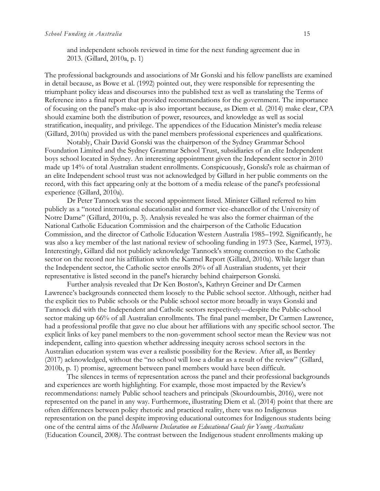The professional backgrounds and associations of Mr Gonski and his fellow panellists are examined in detail because, as Bowe et al. (1992) pointed out, they were responsible for representing the triumphant policy ideas and discourses into the published text as well as translating the Terms of Reference into a final report that provided recommendations for the government. The importance of focusing on the panel's make-up is also important because, as Diem et al. (2014) make clear, CPA should examine both the distribution of power, resources, and knowledge as well as social stratification, inequality, and privilege. The appendices of the Education Minister's media release (Gillard, 2010a) provided us with the panel members professional experiences and qualifications.

Notably, Chair David Gonski was the chairperson of the Sydney Grammar School Foundation Limited and the Sydney Grammar School Trust, subsidiaries of an elite Independent boys school located in Sydney. An interesting appointment given the Independent sector in 2010 made up 14% of total Australian student enrollments. Conspicuously, Gonski's role as chairman of an elite Independent school trust was not acknowledged by Gillard in her public comments on the record, with this fact appearing only at the bottom of a media release of the panel's professional experience (Gillard, 2010a).

Dr Peter Tannock was the second appointment listed. Minister Gillard referred to him publicly as a "noted international educationalist and former vice-chancellor of the University of Notre Dame" (Gillard, 2010a, p. 3). Analysis revealed he was also the former chairman of the National Catholic Education Commission and the chairperson of the Catholic Education Commission, and the director of Catholic Education Western Australia 1985–1992. Significantly, he was also a key member of the last national review of schooling funding in 1973 (See, Karmel, 1973). Interestingly, Gillard did not publicly acknowledge Tannock's strong connection to the Catholic sector on the record nor his affiliation with the Karmel Report (Gillard, 2010a). While larger than the Independent sector, the Catholic sector enrolls 20% of all Australian students, yet their representative is listed second in the panel's hierarchy behind chairperson Gonski.

Further analysis revealed that Dr Ken Boston's, Kathryn Greiner and Dr Carmen Lawrence's backgrounds connected them loosely to the Public school sector. Although, neither had the explicit ties to Public schools or the Public school sector more broadly in ways Gonski and Tannock did with the Independent and Catholic sectors respectively—despite the Public-school sector making up 66% of all Australian enrollments. The final panel member, Dr Carmen Lawrence, had a professional profile that gave no clue about her affiliations with any specific school sector. The explicit links of key panel members to the non-government school sector mean the Review was not independent, calling into question whether addressing inequity across school sectors in the Australian education system was ever a realistic possibility for the Review. After all, as Bentley (2017) acknowledged, without the "no school will lose a dollar as a result of the review" (Gillard, 2010b, p. 1) promise, agreement between panel members would have been difficult.

The silences in terms of representation across the panel and their professional backgrounds and experiences are worth highlighting. For example, those most impacted by the Review's recommendations: namely Public school teachers and principals (Skourdoumbis, 2016), were not represented on the panel in any way. Furthermore, illustrating Diem et al. (2014) point that there are often differences between policy rhetoric and practiced reality, there was no Indigenous representation on the panel despite improving educational outcomes for Indigenous students being one of the central aims of the *Melbourne Declaration on Educational Goals for Young Australians*  (Education Council, 2008*)*. The contrast between the Indigenous student enrollments making up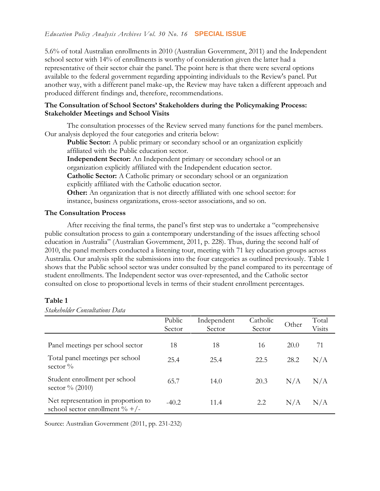5.6% of total Australian enrollments in 2010 (Australian Government, 2011) and the Independent school sector with 14% of enrollments is worthy of consideration given the latter had a representative of their sector chair the panel. The point here is that there were several options available to the federal government regarding appointing individuals to the Review's panel. Put another way, with a different panel make-up, the Review may have taken a different approach and produced different findings and, therefore, recommendations.

#### **The Consultation of School Sectors' Stakeholders during the Policymaking Process: Stakeholder Meetings and School Visits**

The consultation processes of the Review served many functions for the panel members. Our analysis deployed the four categories and criteria below:

**Public Sector:** A public primary or secondary school or an organization explicitly affiliated with the Public education sector.

**Independent Sector:** An Independent primary or secondary school or an organization explicitly affiliated with the Independent education sector. **Catholic Sector:** A Catholic primary or secondary school or an organization

explicitly affiliated with the Catholic education sector.

**Other:** An organization that is not directly affiliated with one school sector: for instance, business organizations, cross-sector associations, and so on.

## **The Consultation Process**

After receiving the final terms, the panel's first step was to undertake a "comprehensive public consultation process to gain a contemporary understanding of the issues affecting school education in Australia" (Australian Government, 2011, p. 228). Thus, during the second half of 2010, the panel members conducted a listening tour, meeting with 71 key education groups across Australia. Our analysis split the submissions into the four categories as outlined previously. Table 1 shows that the Public school sector was under consulted by the panel compared to its percentage of student enrollments. The Independent sector was over-represented, and the Catholic sector consulted on close to proportional levels in terms of their student enrollment percentages.

## **Table 1**

|                                                                           | Public<br>Sector | Independent<br>Sector | Catholic<br>Sector | Other | Total<br>Visits |
|---------------------------------------------------------------------------|------------------|-----------------------|--------------------|-------|-----------------|
| Panel meetings per school sector                                          | 18               | 18                    | 16                 | 20.0  | 71              |
| Total panel meetings per school<br>sector $\%$                            | 25.4             | 25.4                  | 22.5               | 28.2  | N/A             |
| Student enrollment per school<br>sector $\%$ (2010)                       | 65.7             | 14.0                  | 20.3               | N/A   | N/A             |
| Net representation in proportion to<br>school sector enrollment $\% +$ /- | $-40.2$          | 11.4                  | 2.2                | N/A   | N/A             |

*Stakeholder Consultations Data* 

Source: Australian Government (2011, pp. 231-232)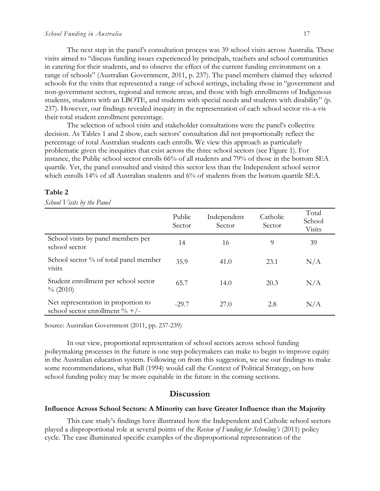The next step in the panel's consultation process was 39 school visits across Australia. These visits aimed to "discuss funding issues experienced by principals, teachers and school communities in catering for their students, and to observe the effect of the current funding environment on a range of schools" (Australian Government, 2011, p. 237). The panel members claimed they selected schools for the visits that represented a range of school settings, including those in "government and non-government sectors, regional and remote areas, and those with high enrollments of Indigenous students, students with an LBOTE, and students with special needs and students with disability" (p. 237). However, our findings revealed inequity in the representation of each school sector vis-a-vis their total student enrollment percentage.

The selection of school visits and stakeholder consultations were the panel's collective decision. As Tables 1 and 2 show, each sectors' consultation did not proportionally reflect the percentage of total Australian students each enrolls. We view this approach as particularly problematic given the inequities that exist across the three school sectors (see Figure 1). For instance, the Public school sector enrolls 66% of all students and 79% of those in the bottom SEA quartile. Yet, the panel consulted and visited this sector less than the Independent school sector which enrolls 14% of all Australian students and 6% of students from the bottom quartile SEA.

#### **Table 2**

*School Visits by the Panel* 

|                                                                           | Public<br>Sector | Independent<br>Sector | Catholic<br>Sector | Total<br>School<br>Visits |
|---------------------------------------------------------------------------|------------------|-----------------------|--------------------|---------------------------|
| School visits by panel members per<br>school sector                       | 14               | 16                    | 9                  | 39                        |
| School sector % of total panel member<br>visits                           | 35.9             | 41.0                  | 23.1               | N/A                       |
| Student enrollment per school sector<br>$\%$ (2010)                       | 65.7             | 14.0                  | 20.3               | N/A                       |
| Net representation in proportion to<br>school sector enrollment $\% +$ /- | $-29.7$          | 27.0                  | 2.8                | N/A                       |

Source: Australian Government (2011, pp. 237-239)

In our view, proportional representation of school sectors across school funding policymaking processes in the future is one step policymakers can make to begin to improve equity in the Australian education system. Following on from this suggestion, we use our findings to make some recommendations, what Ball (1994) would call the Context of Political Strategy, on how school funding policy may be more equitable in the future in the coming sections.

## **Discussion**

#### **Influence Across School Sectors: A Minority can have Greater Influence than the Majority**

This case study's findings have illustrated how the Independent and Catholic school sectors played a disproportional role at several points of the *Review of Funding for Schooling's* (2011) policy cycle. The case illuminated specific examples of the disproportional representation of the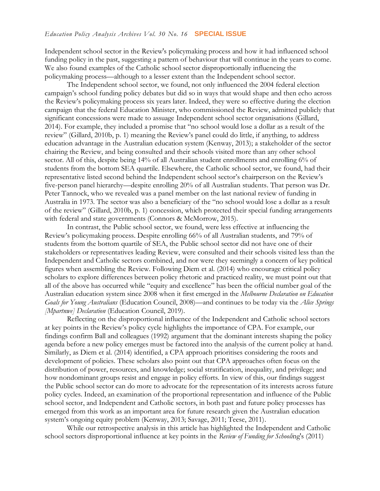Independent school sector in the Review's policymaking process and how it had influenced school funding policy in the past, suggesting a pattern of behaviour that will continue in the years to come. We also found examples of the Catholic school sector disproportionally influencing the policymaking process—although to a lesser extent than the Independent school sector.

The Independent school sector, we found, not only influenced the 2004 federal election campaign's school funding policy debates but did so in ways that would shape and then echo across the Review's policymaking process six years later. Indeed, they were so effective during the election campaign that the federal Education Minister, who commissioned the Review, admitted publicly that significant concessions were made to assuage Independent school sector organisations (Gillard, 2014). For example, they included a promise that "no school would lose a dollar as a result of the review" (Gillard, 2010b, p. 1) meaning the Review's panel could do little, if anything, to address education advantage in the Australian education system (Kenway, 2013); a stakeholder of the sector chairing the Review, and being consulted and their schools visited more than any other school sector. All of this, despite being 14% of all Australian student enrollments and enrolling 6% of students from the bottom SEA quartile. Elsewhere, the Catholic school sector, we found, had their representative listed second behind the Independent school sector's chairperson on the Review's five-person panel hierarchy—despite enrolling 20% of all Australian students. That person was Dr. Peter Tannock, who we revealed was a panel member on the last national review of funding in Australia in 1973. The sector was also a beneficiary of the "no school would lose a dollar as a result of the review" (Gillard, 2010b, p. 1) concession, which protected their special funding arrangements with federal and state governments (Connors & McMorrow, 2015).

In contrast, the Public school sector, we found, were less effective at influencing the Review's policymaking process. Despite enrolling 66% of all Australian students, and 79% of students from the bottom quartile of SEA, the Public school sector did not have one of their stakeholders or representatives leading Review, were consulted and their schools visited less than the Independent and Catholic sectors combined, and nor were they seemingly a concern of key political figures when assembling the Review. Following Diem et al. (2014) who encourage critical policy scholars to explore differences between policy rhetoric and practiced reality, we must point out that all of the above has occurred while "equity and excellence" has been the official number goal of the Australian education system since 2008 when it first emerged in the *Melbourne Declaration on Education Goals for Young Australians* (Education Council, 2008)—and continues to be today via the *Alice Springs [Mpartnwe] Declaration* (Education Council, 2019).

Reflecting on the disproportional influence of the Independent and Catholic school sectors at key points in the Review's policy cycle highlights the importance of CPA. For example, our findings confirm Ball and colleagues (1992) argument that the dominant interests shaping the policy agenda before a new policy emerges must be factored into the analysis of the current policy at hand. Similarly, as Diem et al. (2014) identified, a CPA approach prioritises considering the roots and development of policies. These scholars also point out that CPA approaches often focus on the distribution of power, resources, and knowledge; social stratification, inequality, and privilege; and how nondominant groups resist and engage in policy efforts. In view of this, our findings suggest the Public school sector can do more to advocate for the representation of its interests across future policy cycles. Indeed, an examination of the proportional representation and influence of the Public school sector, and Independent and Catholic sectors, in both past and future policy processes has emerged from this work as an important area for future research given the Australian education system's ongoing equity problem (Kenway, 2013; Savage, 2011; Teese, 2011).

While our retrospective analysis in this article has highlighted the Independent and Catholic school sectors disproportional influence at key points in the *Review of Funding for Schooli*ng's (2011)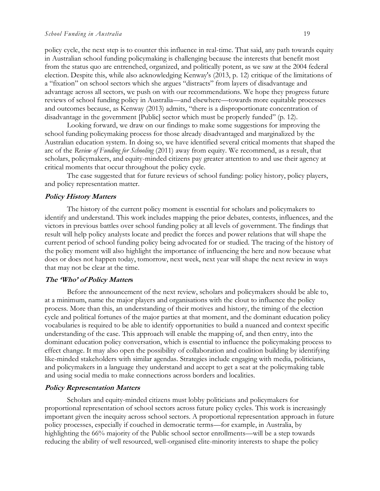policy cycle, the next step is to counter this influence in real-time. That said, any path towards equity in Australian school funding policymaking is challenging because the interests that benefit most from the status quo are entrenched, organized, and politically potent, as we saw at the 2004 federal election. Despite this, while also acknowledging Kenway's (2013, p. 12) critique of the limitations of a "fixation" on school sectors which she argues "distracts" from layers of disadvantage and advantage across all sectors, we push on with our recommendations. We hope they progress future reviews of school funding policy in Australia—and elsewhere—towards more equitable processes and outcomes because, as Kenway (2013) admits, "there is a disproportionate concentration of disadvantage in the government [Public] sector which must be properly funded" (p. 12).

Looking forward, we draw on our findings to make some suggestions for improving the school funding policymaking process for those already disadvantaged and marginalized by the Australian education system. In doing so, we have identified several critical moments that shaped the arc of the *Review of Funding for Schooling* (2011) away from equity. We recommend, as a result, that scholars, policymakers, and equity-minded citizens pay greater attention to and use their agency at critical moments that occur throughout the policy cycle.

The case suggested that for future reviews of school funding: policy history, policy players, and policy representation matter.

#### **Policy History Matters**

The history of the current policy moment is essential for scholars and policymakers to identify and understand. This work includes mapping the prior debates, contests, influences, and the victors in previous battles over school funding policy at all levels of government. The findings that result will help policy analysts locate and predict the forces and power relations that will shape the current period of school funding policy being advocated for or studied. The tracing of the history of the policy moment will also highlight the importance of influencing the here and now because what does or does not happen today, tomorrow, next week, next year will shape the next review in ways that may not be clear at the time.

#### **The 'Who' of Policy Matters**

Before the announcement of the next review, scholars and policymakers should be able to, at a minimum, name the major players and organisations with the clout to influence the policy process. More than this, an understanding of their motives and history, the timing of the election cycle and political fortunes of the major parties at that moment, and the dominant education policy vocabularies is required to be able to identify opportunities to build a nuanced and context specific understanding of the case. This approach will enable the mapping of, and then entry, into the dominant education policy conversation, which is essential to influence the policymaking process to effect change. It may also open the possibility of collaboration and coalition building by identifying like-minded stakeholders with similar agendas. Strategies include engaging with media, politicians, and policymakers in a language they understand and accept to get a seat at the policymaking table and using social media to make connections across borders and localities.

#### **Policy Representation Matters**

Scholars and equity-minded citizens must lobby politicians and policymakers for proportional representation of school sectors across future policy cycles. This work is increasingly important given the inequity across school sectors. A proportional representation approach in future policy processes, especially if couched in democratic terms—for example, in Australia, by highlighting the 66% majority of the Public school sector enrollments—will be a step towards reducing the ability of well resourced, well-organised elite-minority interests to shape the policy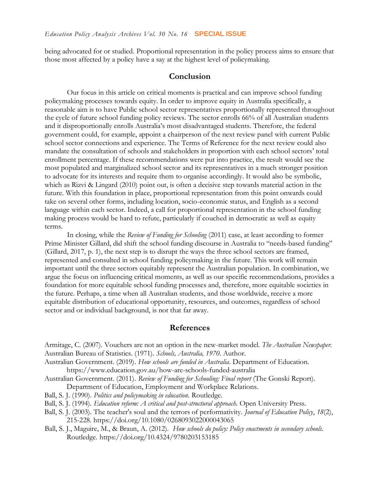being advocated for or studied. Proportional representation in the policy process aims to ensure that those most affected by a policy have a say at the highest level of policymaking.

## **Conclusion**

Our focus in this article on critical moments is practical and can improve school funding policymaking processes towards equity. In order to improve equity in Australia specifically, a reasonable aim is to have Public school sector representatives proportionally represented throughout the cycle of future school funding policy reviews. The sector enrolls 66% of all Australian students and it disproportionally enrolls Australia's most disadvantaged students. Therefore, the federal government could, for example, appoint a chairperson of the next review panel with current Public school sector connections and experience. The Terms of Reference for the next review could also mandate the consultation of schools and stakeholders in proportion with each school sectors' total enrollment percentage. If these recommendations were put into practice, the result would see the most populated and marginalized school sector and its representatives in a much stronger position to advocate for its interests and require them to organise accordingly. It would also be symbolic, which as Rizvi & Lingard (2010) point out, is often a decisive step towards material action in the future. With this foundation in place, proportional representation from this point onwards could take on several other forms, including location, socio-economic status, and English as a second language within each sector. Indeed, a call for proportional representation in the school funding making process would be hard to refute, particularly if couched in democratic as well as equity terms.

In closing, while the *Review of Funding for Schooling* (2011) case, at least according to former Prime Minister Gillard, did shift the school funding discourse in Australia to "needs-based funding" (Gillard, 2017, p. 1), the next step is to disrupt the ways the three school sectors are framed, represented and consulted in school funding policymaking in the future. This work will remain important until the three sectors equitably represent the Australian population. In combination, we argue the focus on influencing critical moments, as well as our specific recommendations, provides a foundation for more equitable school funding processes and, therefore, more equitable societies in the future. Perhaps, a time when all Australian students, and those worldwide, receive a more equitable distribution of educational opportunity, resources, and outcomes, regardless of school sector and or individual background, is not that far away.

#### **References**

Armitage, C. (2007). Vouchers are not an option in the new-market model. *The Australian Newspaper.* Australian Bureau of Statistics. (1971). *Schools, Australia, 1970*. Author.

Australian Government. (2019). *How schools are funded in Australia*. Department of Education. <https://www.education.gov.au/how-are-schools-funded-australia>

- Australian Government. (2011). *Review of Funding for Schooling: Final report* (The Gonski Report). Department of Education, Employment and Workplace Relations.
- Ball, S. J. (1990). *Politics and policymaking in education*. Routledge.

Ball, S. J. (1994). *Education reform: A critical and post-structural approach*. Open University Press.

- Ball, S. J. (2003). The teacher's soul and the terrors of performativity. *Journal of Education Policy*, *18*(2), 215-228. <https://doi.org/10.1080/0268093022000043065>
- Ball, S. J., Maguire, M., & Braun, A. (2012). *How schools do policy: Policy enactments in secondary schools.*  Routledge. <https://doi.org/10.4324/9780203153185>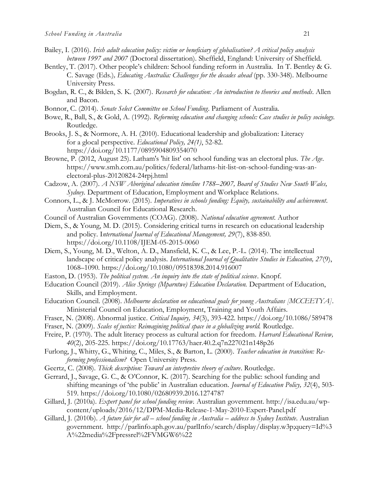- Bailey, I. (2016). *Irish adult education policy: victim or beneficiary of globalisation? A critical policy analysis between 1997 and 2007* (Doctoral dissertation). Sheffield, England: University of Sheffield.
- Bentley, T. (2017). Other people's children: School funding reform in Australia. In T. Bentley & G. C. Savage (Eds.)*, Educating Australia: Challenges for the decades ahead* (pp. 330-348). Melbourne University Press.
- Bogdan, R. C., & Biklen, S. K. (2007). *Research for education: An introduction to theories and methods*. Allen and Bacon.
- Bonnor, C. (2014). *Senate Select Committee on School Funding*. Parliament of Australia.
- Bowe, R., Ball, S., & Gold, A. (1992). *Reforming education and changing schools: Case studies in policy sociology.* Routledge.
- Brooks, J. S., & Normore, A. H. (2010). Educational leadership and globalization: Literacy for a glocal perspective. *Educational Policy, 24(1)*, 52-82. https://doi.org/10.1177/0895904809354070
- Browne, P. (2012, August 25). Latham's 'hit list' on school funding was an electoral plus. *The Age*. [https://www.smh.com.au/politics/federal/lathams-hit-list-on-school-funding-was-an](https://www.smh.com.au/politics/federal/lathams-hit-list-on-school-funding-was-an-electoral-plus-20120824-24rpj.html)[electoral-plus-20120824-24rpj.html](https://www.smh.com.au/politics/federal/lathams-hit-list-on-school-funding-was-an-electoral-plus-20120824-24rpj.html)
- Cadzow, A. (2007). *A NSW Aboriginal education timeline 1788–2007, Board of Studies New South Wales, Sydney.* Department of Education, Employment and Workplace Relations.
- Connors, L., & J. McMorrow. (2015). *Imperatives in schools funding: Equity, sustainability and achievement*. Australian Council for Educational Research.
- Council of Australian Governments (COAG). (2008). *National education agreement.* Author
- Diem, S., & Young, M. D. (2015). Considering critical turns in research on educational leadership and policy. I*nternational Journal of Educational Management, 29*(7), 838-850. https://doi.org/10.1108/IJEM-05-2015-0060
- Diem, S., Young, M. D., Welton, A. D., Mansfield, K. C., & Lee, P.-L. (2014). The intellectual landscape of critical policy analysis. *International Journal of Qualitative Studies in Education, 27*(9), 1068–1090. https://doi.org/10.1080/09518398.2014.916007
- Easton, D. (1953). *The political system. An inquiry into the state of political science*. Knopf.
- Education Council (2019). *Alice Springs (Mparntwe) Education Declaration.* Department of Education, Skills, and Employment.
- Education Council. (2008). *Melbourne declaration on educational goals for young Australians [MCCEETYA]*. Ministerial Council on Education, Employment, Training and Youth Affairs.
- Fraser, N. (2008). Abnormal justice. *Critical Inquiry, 34*(3), 393-422.<https://doi.org/10.1086/589478>
- Fraser, N. (2009). *Scales of justice: Reimagining political space in a globalizing world.* Routledge.
- Freire, P. (1970). The adult literacy process as cultural action for freedom. *Harvard Educational Review, 40*(2), 205-225. <https://doi.org/10.17763/haer.40.2.q7n227021n148p26>
- Furlong, J., Whitty, G., Whiting, C., Miles, S., & Barton, L. (2000). *Teacher education in transition: Reforming professionalism?* Open University Press.
- Geertz, C. (2008). *Thick description: Toward an interpretive theory of culture*. Routledge.
- Gerrard, J., Savage, G. C., & O'Connor, K. (2017). Searching for the public: school funding and shifting meanings of 'the public' in Australian education. *Journal of Education Policy, 32*(4), 503- 519. <https://doi.org/10.1080/02680939.2016.1274787>
- Gillard, J. (2010a). *Expert panel for school funding review.* Australian government. [http://isa.edu.au/wp](http://isa.edu.au/wp-content/uploads/2016/12/DPM-Media-Release-1-May-2010-Expert-Panel.pdf)[content/uploads/2016/12/DPM-Media-Release-1-May-2010-Expert-Panel.pdf](http://isa.edu.au/wp-content/uploads/2016/12/DPM-Media-Release-1-May-2010-Expert-Panel.pdf)
- Gillard, J. (2010b). *A future fair for all – school funding in Australia – address to Sydney Institute*. Australian government. [http://parlinfo.aph.gov.au/parlInfo/search/display/display.w3p;query=Id%3](http://parlinfo.aph.gov.au/parlInfo/search/display/display.w3p;query=Id%3A%22media%2Fpressrel%2FVMGW6%22) [A%22media%2Fpressrel%2FVMGW6%22](http://parlinfo.aph.gov.au/parlInfo/search/display/display.w3p;query=Id%3A%22media%2Fpressrel%2FVMGW6%22)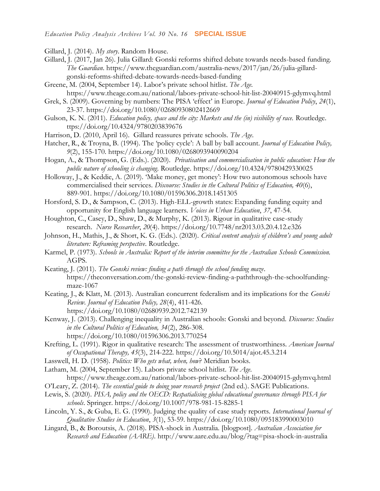- Gillard, J. (2014). *My story*. Random House.
- Gillard, J. (2017, Jan 26). Julia Gillard: Gonski reforms shifted debate towards needs-based funding*. The Guardian*. [https://www.theguardian.com/australia-news/2017/jan/26/julia-gillard](https://www.theguardian.com/australia-news/2017/jan/26/julia-gillard-gonski-reforms-shifted-debate-towards-needs-based-funding)[gonski-reforms-shifted-debate-towards-needs-based-funding](https://www.theguardian.com/australia-news/2017/jan/26/julia-gillard-gonski-reforms-shifted-debate-towards-needs-based-funding)
- Greene, M. (2004, September 14). Labor's private school hitlist. *The Age.*  <https://www.theage.com.au/national/labors-private-school-hit-list-20040915-gdymvq.html>
- Grek, S. (2009). Governing by numbers: The PISA 'effect' in Europe. *Journal of Education Policy*, *24*(1), 23-37. <https://doi.org/10.1080/02680930802412669>
- Gulson, K. N. (2011). *Education policy, space and the city: Markets and the (in) visibility of race.* Routledge. [ttps://doi.org/10.4324/9780203839676](https://doi.org/10.4324/9780203839676)
- Harrison, D. (2010, April 16). Gillard reassures private schools. *The Age*.
- Hatcher, R., & Troyna, B. (1994). The 'policy cycle': A ball by ball account. *Journal of Education Policy, 9*(2), 155-170. <https://doi.org/10.1080/0268093940090204>
- Hogan, A., & Thompson, G. (Eds.). (2020). *Privatisation and commercialisation in public education: How the public nature of schooling is changing*. Routledge. <https://doi.org/10.4324/9780429330025>
- Holloway, J., & Keddie, A. (2019). 'Make money, get money': How two autonomous schools have commercialised their services. *Discourse: Studies in the Cultural Politics of Education, 40*(6), 889-901. <https://doi.org/10.1080/01596306.2018.1451305>
- Horsford, S. D., & Sampson, C. (2013). High-ELL-growth states: Expanding funding equity and opportunity for English language learners. *Voices in Urban Education*, *37*, 47-54.
- Houghton, C., Casey, D., Shaw, D., & Murphy, K. (2013). Rigour in qualitative case-study research. *Nurse Researcher*, *20*(4). <https://doi.org/10.7748/nr2013.03.20.4.12.e326>
- Johnson, H., Mathis, J., & Short, K. G. (Eds.). (2020). *Critical content analysis of children's and young adult literature: Reframing perspective*. Routledge.
- Karmel, P. (1973). *Schools in Australia: Report of the interim committee for the Australian Schools Commission.* AGPS.
- Keating, J. (2011). *The Gonski review: finding a path through the school funding maze*. https://theconversation.com/the-gonski-review-finding-a-paththrough-the-schoolfundingmaze-1067
- Keating, J., & Klatt, M. (2013). Australian concurrent federalism and its implications for the *Gonski Review. Journal of Education Policy, 28*(4), 411-426. <https://doi.org/10.1080/02680939.2012.742139>
- Kenway, J. (2013). Challenging inequality in Australian schools: Gonski and beyond. *Discourse: Studies in the Cultural Politics of Education, 34*(2), 286-308. <https://doi.org/10.1080/01596306.2013.770254>
- Krefting, L. (1991). Rigor in qualitative research: The assessment of trustworthiness. *American Journal of Occupational Therapy, 45*(3), 214-222. https://doi.org/10.5014/ajot.45.3.214
- Lasswell, H. D. (1958). *Politics: Who gets what, when, how*? Meridian books.

Latham, M. (2004, September 15). Labors private school hitlist. *The Age*. <https://www.theage.com.au/national/labors-private-school-hit-list-20040915-gdymvq.html>

- O'Leary, Z. (2014). *The essential guide to doing your research project* (2nd ed.). SAGE Publications.
- Lewis, S. (2020). *PISA, policy and the OECD: Respatialising global educational governance through PISA for schools*. Springer. <https://doi.org/10.1007/978-981-15-8285-1>
- Lincoln, Y. S., & Guba, E. G. (1990). Judging the quality of case study reports. *International Journal of Qualitative Studies in Education*, *3*(1), 53-59. https://doi.org/10.1080/095183990003010
- Lingard, B., & Boroutsis, A. (2018). PISA-shock in Australia. [blogpost]. *Australian Association for Research and Education (AARE)*.<http://www.aare.edu.au/blog/?tag=pisa-shock-in-australia>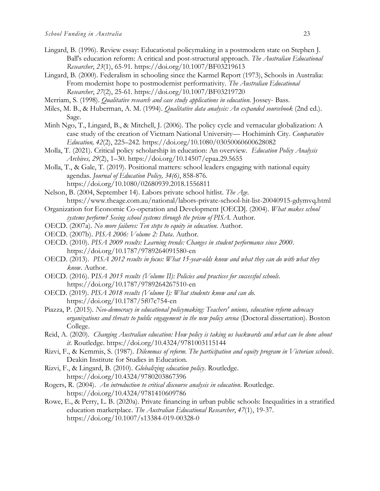- Lingard, B. (1996). Review essay: Educational policymaking in a postmodern state on Stephen J. Ball's education reform: A critical and post-structural approach. *The Australian Educational Researcher*, *23*(1), 65-91. <https://doi.org/10.1007/BF03219613>
- Lingard, B. (2000). Federalism in schooling since the Karmel Report (1973), Schools in Australia: From modernist hope to postmodernist performativity. *The Australian Educational Researcher*, *27*(2), 25-61. <https://doi.org/10.1007/BF03219720>
- Merriam, S. (1998). *Qualitative research and case study applications in education*. Jossey- Bass.
- Miles, M. B., & Huberman, A. M. (1994). *Qualitative data analysis: An expanded sourcebook* (2nd ed.). Sage.
- Minh Ngo, T., Lingard, B., & Mitchell, J. (2006). The policy cycle and vernacular globalization: A case study of the creation of Vietnam National University— Hochiminh City. *Comparative Education, 42*(2), 225–242.<https://doi.org/10.1080/03050060600628082>
- Molla, T. (2021). Critical policy scholarship in education: An overview. *Education Policy Analysis Archives, 29*(2), 1–30.<https://doi.org/10.14507/epaa.29.5655>
- Molla, T., & Gale, T. (2019). Positional matters: school leaders engaging with national equity agendas. *Journal of Education Policy, 34(6)*, 858-876. <https://doi.org/10.1080/02680939.2018.1556811>
- Nelson, B. (2004, September 14). Labors private school hitlist. *The Age.*  <https://www.theage.com.au/national/labors-private-school-hit-list-20040915-gdymvq.html>
- Organization for Economic Co-operation and Development [OECD]. (2004). *What makes school systems perform? Seeing school systems through the prism of PISA.* Author.
- OECD. (2007a). *No more failures: Ten steps to equity in education*. Author.
- OECD. (2007b). *PISA 2006: Volume 2: Data*. Author.
- OECD. (2010). *PISA 2009 results: Learning trends: Changes in student performance since 2000*. <https://doi.org/10.1787/9789264091580-en>
- OECD. (2013). *PISA 2012 results in focus: What 15-year-olds know and what they can do with what they know*. Author.
- OECD. (2016). P*ISA 2015 results (Volume II): Policies and practices for successful schools*. <https://doi.org/10.1787/9789264267510-en>
- OECD. (2019). *PISA 2018 results (Volume I): What students know and can do.*  <https://doi.org/10.1787/5f07c754-en>
- Piazza, P. (2015). *Neo-democracy in educational policymaking: Teachers' unions, education reform advocacy organizations and threats to public engagement in the new policy arena* (Doctoral dissertation). Boston College.
- Reid, A. (2020). *Changing Australian education: How policy is taking us backwards and what can be done about it*. Routledge. <https://doi.org/10.4324/9781003115144>
- Rizvi, F., & Kemmis, S. (1987). *Dilemmas of reform. The participation and equity program in Victorian schools*. Deakin Institute for Studies in Education.
- Rizvi, F., & Lingard, B. (2010). *Globalizing education policy*. Routledge. <https://doi.org/10.4324/9780203867396>
- Rogers, R. (2004). *An introduction to critical discourse analysis in education*. Routledge. <https://doi.org/10.4324/9781410609786>
- Rowe, E., & Perry, L. B. (2020a). Private financing in urban public schools: Inequalities in a stratified education marketplace. *The Australian Educational Researcher*, *47*(1), 19-37. <https://doi.org/10.1007/s13384-019-00328-0>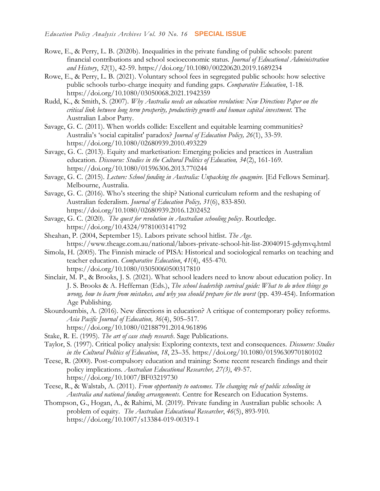- Rowe, E., & Perry, L. B. (2020b). Inequalities in the private funding of public schools: parent financial contributions and school socioeconomic status. *Journal of Educational Administration and History*, *52*(1), 42-59. <https://doi.org/10.1080/00220620.2019.1689234>
- Rowe, E., & Perry, L. B. (2021). Voluntary school fees in segregated public schools: how selective public schools turbo-charge inequity and funding gaps. *Comparative Education*, 1-18. <https://doi.org/10.1080/03050068.2021.1942359>
- Rudd, K., & Smith, S. (2007). *Why Australia needs an education revolution: New Directions Paper on the critical link between long term prosperity, productivity growth and human capital investment.* The Australian Labor Party.
- Savage, G. C. (2011). When worlds collide: Excellent and equitable learning communities? Australia's 'social capitalist' paradox? *Journal of Education Policy, 26*(1), 33-59. <https://doi.org/10.1080/02680939.2010.493229>
- Savage, G. C. (2013). Equity and marketisation: Emerging policies and practices in Australian education. *Discourse: Studies in the Cultural Politics of Education, 34*(2), 161-169. <https://doi.org/10.1080/01596306.2013.770244>
- Savage, G. C. (2015). *Lecture: School funding in Australia: Unpacking the quagmire.* [Ed Fellows Seminar]. Melbourne, Australia.
- Savage, G. C. (2016). Who's steering the ship? National curriculum reform and the reshaping of Australian federalism. *Journal of Education Policy, 31*(6), 833-850. <https://doi.org/10.1080/02680939.2016.1202452>
- Savage, G. C. (2020). *The quest for revolution in Australian schooling policy*. Routledge. <https://doi.org/10.4324/9781003141792>
- Sheahan, P. (2004, September 15). Labors private school hitlist. *The Age.*  <https://www.theage.com.au/national/labors-private-school-hit-list-20040915-gdymvq.html>
- Simola, H. (2005). The Finnish miracle of PISA: Historical and sociological remarks on teaching and teacher education. *Comparative Education*, *41*(4), 455-470. <https://doi.org/10.1080/03050060500317810>
- Sinclair, M. P., & Brooks, J. S. (2021). What school leaders need to know about education policy. In J. S. Brooks & A. Heffernan (Eds.), *The school leadership survival guide: What to do when things go wrong, how to learn from mistakes, and why you should prepare for the worst* (pp. 439-454). Information Age Publishing.
- Skourdoumbis, A. (2016). New directions in education? A critique of contemporary policy reforms. *Asia Pacific Journal of Education, 36*(4), 505–517. <https://doi.org/10.1080/02188791.2014.961896>
- Stake, R. E. (1995). *The art of case study research*. Sage Publications.
- Taylor, S. (1997). Critical policy analysis: Exploring contexts, text and consequences. *Discourse: Studies in the Cultural Politics of Education*, *18*, 23–35. <https://doi.org/10.1080/0159630970180102>
- Teese, R. (2000). Post-compulsory education and training: Some recent research findings and their policy implications. *Australian Educational Researcher, 27(3)*, 49-57. <https://doi.org/10.1007/BF03219730>
- Teese, R., & Walstab, A. (2011). *From opportunity to outcomes. The changing role of public schooling in Australia and national funding arrangements*. Centre for Research on Education Systems.
- Thompson, G., Hogan, A., & Rahimi, M. (2019). Private funding in Australian public schools: A problem of equity. *The Australian Educational Researcher*, *46*(5), 893-910. <https://doi.org/10.1007/s13384-019-00319-1>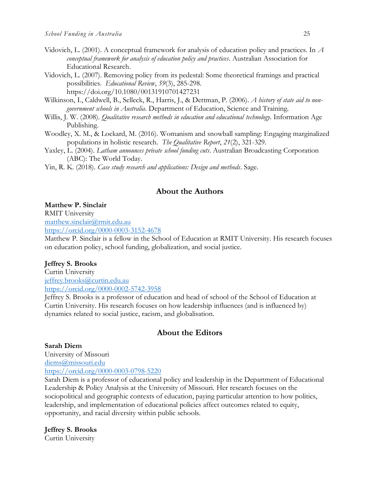- Vidovich, L. (2001). A conceptual framework for analysis of education policy and practices. In *A conceptual framework for analysis of education policy and practices*. Australian Association for Educational Research.
- Vidovich, L. (2007). Removing policy from its pedestal: Some theoretical framings and practical possibilities. *Educational Review*, *59*(3), 285-298. <https://doi.org/10.1080/00131910701427231>
- Wilkinson, I., Caldwell, B., Selleck, R., Harris, J., & Dettman, P. (2006). *A history of state aid to nongovernment schools in Australia*. Department of Education, Science and Training.
- Willis, J. W. (2008). *Qualitative research methods in education and educational technology.* Information Age Publishing.
- Woodley, X. M., & Lockard, M. (2016). Womanism and snowball sampling: Engaging marginalized populations in holistic research. *The Qualitative Report*, *21*(2), 321-329.
- Yaxley, L. (2004). *Latham announces private school funding cuts*. Australian Broadcasting Corporation (ABC): The World Today.
- Yin, R. K. (2018). *Case study research and applications: Design and methods*. Sage.

## **About the Authors**

**Matthew P. Sinclair** RMIT University [matthew.sinclair@rmit.edu.au](mailto:Matthew.sinclair@rmit.edu.au) <https://orcid.org/0000-0003-3152-4678>

Matthew P. Sinclair is a fellow in the School of Education at RMIT University. His research focuses on education policy, school funding, globalization, and social justice.

#### **Jeffrey S. Brooks**

Curtin University [jeffrey.brooks@curtin.edu.au](mailto:jeffrey.brooks@curtin.edu.au) <https://orcid.org/0000-0002-5742-3958>

Jeffrey S. Brooks is a professor of education and head of school of the School of Education at Curtin University. His research focuses on how leadership influences (and is influenced by) dynamics related to social justice, racism, and globalisation.

## **About the Editors**

**Sarah Diem** University of Missouri [diems@missouri.edu](mailto:diems@missouri.edu) <https://orcid.org/0000-0003-0798-5220>

Sarah Diem is a professor of educational policy and leadership in the Department of Educational Leadership & Policy Analysis at the University of Missouri. Her research focuses on the sociopolitical and geographic contexts of education, paying particular attention to how politics, leadership, and implementation of educational policies affect outcomes related to equity, opportunity, and racial diversity within public schools.

**Jeffrey S. Brooks** Curtin University